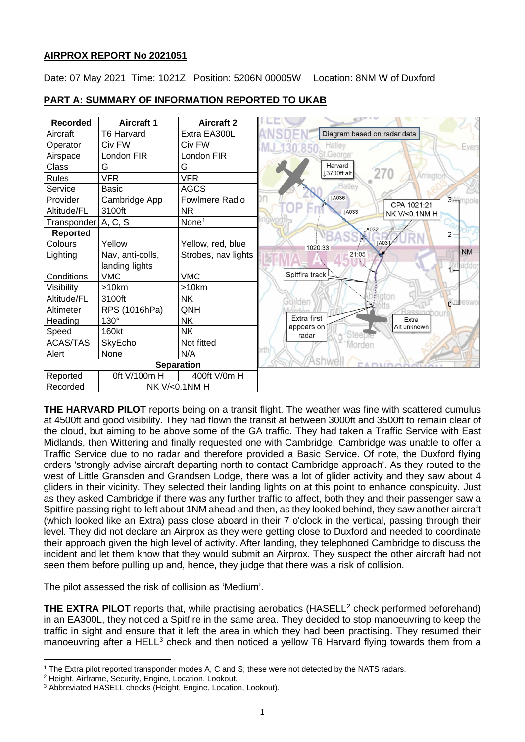# **AIRPROX REPORT No 2021051**

Date: 07 May 2021 Time: 1021Z Position: 5206N 00005W Location: 8NM W of Duxford



# **PART A: SUMMARY OF INFORMATION REPORTED TO UKAB**

**THE HARVARD PILOT** reports being on a transit flight. The weather was fine with scattered cumulus at 4500ft and good visibility. They had flown the transit at between 3000ft and 3500ft to remain clear of the cloud, but aiming to be above some of the GA traffic. They had taken a Traffic Service with East Midlands, then Wittering and finally requested one with Cambridge. Cambridge was unable to offer a Traffic Service due to no radar and therefore provided a Basic Service. Of note, the Duxford flying orders 'strongly advise aircraft departing north to contact Cambridge approach'. As they routed to the west of Little Gransden and Grandsen Lodge, there was a lot of glider activity and they saw about 4 gliders in their vicinity. They selected their landing lights on at this point to enhance conspicuity. Just as they asked Cambridge if there was any further traffic to affect, both they and their passenger saw a Spitfire passing right-to-left about 1NM ahead and then, as they looked behind, they saw another aircraft (which looked like an Extra) pass close aboard in their 7 o'clock in the vertical, passing through their level. They did not declare an Airprox as they were getting close to Duxford and needed to coordinate their approach given the high level of activity. After landing, they telephoned Cambridge to discuss the incident and let them know that they would submit an Airprox. They suspect the other aircraft had not seen them before pulling up and, hence, they judge that there was a risk of collision.

The pilot assessed the risk of collision as 'Medium'.

**THE EXTRA PILOT** reports that, while practising aerobatics (HASELL<sup>[2](#page-0-1)</sup> check performed beforehand) in an EA300L, they noticed a Spitfire in the same area. They decided to stop manoeuvring to keep the traffic in sight and ensure that it left the area in which they had been practising. They resumed their manoeuvring after a HELL<sup>[3](#page-0-2)</sup> check and then noticed a yellow T6 Harvard flying towards them from a

<span id="page-0-0"></span><sup>1</sup> The Extra pilot reported transponder modes A, C and S; these were not detected by the NATS radars.

<span id="page-0-1"></span><sup>2</sup> Height, Airframe, Security, Engine, Location, Lookout.

<span id="page-0-2"></span><sup>3</sup> Abbreviated HASELL checks (Height, Engine, Location, Lookout).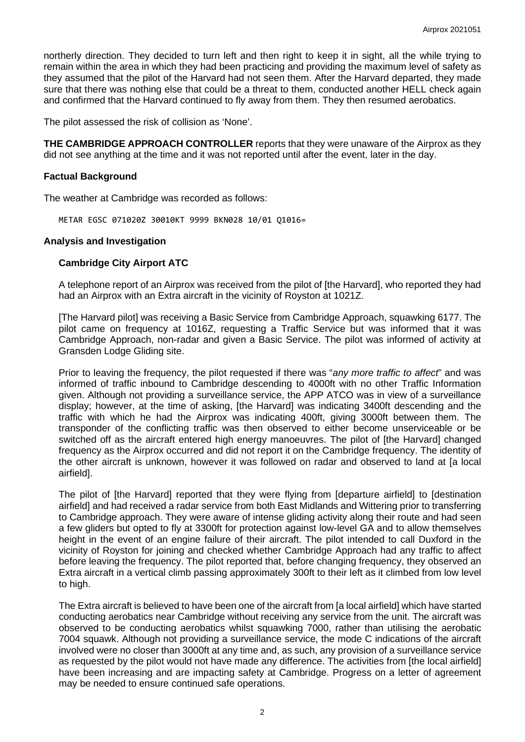northerly direction. They decided to turn left and then right to keep it in sight, all the while trying to remain within the area in which they had been practicing and providing the maximum level of safety as they assumed that the pilot of the Harvard had not seen them. After the Harvard departed, they made sure that there was nothing else that could be a threat to them, conducted another HELL check again and confirmed that the Harvard continued to fly away from them. They then resumed aerobatics.

The pilot assessed the risk of collision as 'None'.

**THE CAMBRIDGE APPROACH CONTROLLER** reports that they were unaware of the Airprox as they did not see anything at the time and it was not reported until after the event, later in the day.

## **Factual Background**

The weather at Cambridge was recorded as follows:

METAR EGSC 071020Z 30010KT 9999 BKN028 10/01 Q1016=

## **Analysis and Investigation**

## **Cambridge City Airport ATC**

A telephone report of an Airprox was received from the pilot of [the Harvard], who reported they had had an Airprox with an Extra aircraft in the vicinity of Royston at 1021Z.

[The Harvard pilot] was receiving a Basic Service from Cambridge Approach, squawking 6177. The pilot came on frequency at 1016Z, requesting a Traffic Service but was informed that it was Cambridge Approach, non-radar and given a Basic Service. The pilot was informed of activity at Gransden Lodge Gliding site.

Prior to leaving the frequency, the pilot requested if there was "*any more traffic to affect*" and was informed of traffic inbound to Cambridge descending to 4000ft with no other Traffic Information given. Although not providing a surveillance service, the APP ATCO was in view of a surveillance display; however, at the time of asking, [the Harvard] was indicating 3400ft descending and the traffic with which he had the Airprox was indicating 400ft, giving 3000ft between them. The transponder of the conflicting traffic was then observed to either become unserviceable or be switched off as the aircraft entered high energy manoeuvres. The pilot of [the Harvard] changed frequency as the Airprox occurred and did not report it on the Cambridge frequency. The identity of the other aircraft is unknown, however it was followed on radar and observed to land at [a local airfield].

The pilot of [the Harvard] reported that they were flying from [departure airfield] to [destination airfield] and had received a radar service from both East Midlands and Wittering prior to transferring to Cambridge approach. They were aware of intense gliding activity along their route and had seen a few gliders but opted to fly at 3300ft for protection against low-level GA and to allow themselves height in the event of an engine failure of their aircraft. The pilot intended to call Duxford in the vicinity of Royston for joining and checked whether Cambridge Approach had any traffic to affect before leaving the frequency. The pilot reported that, before changing frequency, they observed an Extra aircraft in a vertical climb passing approximately 300ft to their left as it climbed from low level to high.

The Extra aircraft is believed to have been one of the aircraft from [a local airfield] which have started conducting aerobatics near Cambridge without receiving any service from the unit. The aircraft was observed to be conducting aerobatics whilst squawking 7000, rather than utilising the aerobatic 7004 squawk. Although not providing a surveillance service, the mode C indications of the aircraft involved were no closer than 3000ft at any time and, as such, any provision of a surveillance service as requested by the pilot would not have made any difference. The activities from [the local airfield] have been increasing and are impacting safety at Cambridge. Progress on a letter of agreement may be needed to ensure continued safe operations.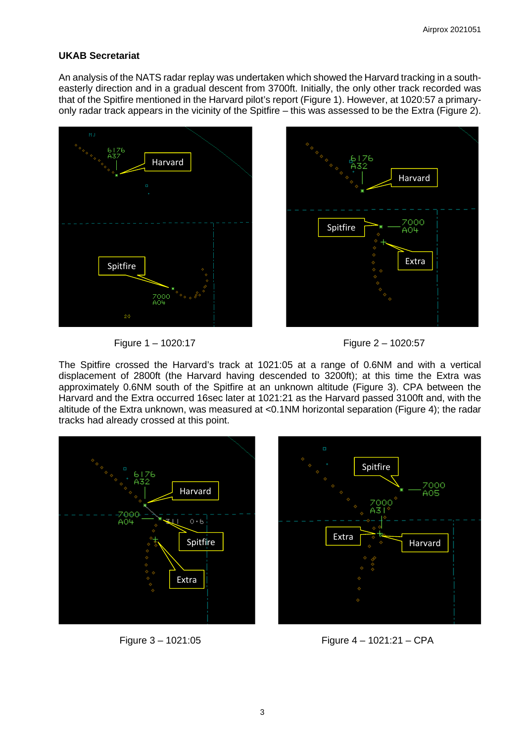# **UKAB Secretariat**

An analysis of the NATS radar replay was undertaken which showed the Harvard tracking in a southeasterly direction and in a gradual descent from 3700ft. Initially, the only other track recorded was that of the Spitfire mentioned in the Harvard pilot's report (Figure 1). However, at 1020:57 a primaryonly radar track appears in the vicinity of the Spitfire – this was assessed to be the Extra (Figure 2).







The Spitfire crossed the Harvard's track at 1021:05 at a range of 0.6NM and with a vertical displacement of 2800ft (the Harvard having descended to 3200ft); at this time the Extra was approximately 0.6NM south of the Spitfire at an unknown altitude (Figure 3). CPA between the Harvard and the Extra occurred 16sec later at 1021:21 as the Harvard passed 3100ft and, with the altitude of the Extra unknown, was measured at <0.1NM horizontal separation (Figure 4); the radar tracks had already crossed at this point.





Figure 3 – 1021:05 Figure 4 – 1021:21 – CPA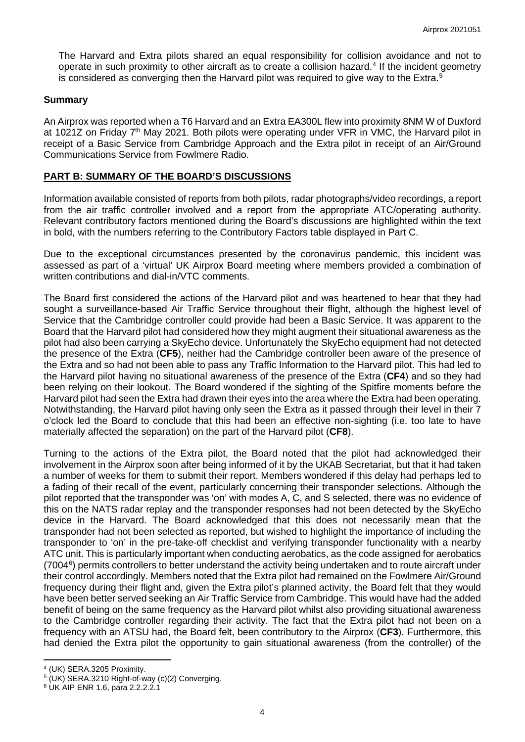The Harvard and Extra pilots shared an equal responsibility for collision avoidance and not to operate in such proximity to other aircraft as to create a collision hazard. [4](#page-3-0) If the incident geometry is considered as converging then the Harvard pilot was required to give way to the Extra.<sup>[5](#page-3-1)</sup>

## **Summary**

An Airprox was reported when a T6 Harvard and an Extra EA300L flew into proximity 8NM W of Duxford at 1021Z on Friday 7<sup>th</sup> May 2021. Both pilots were operating under VFR in VMC, the Harvard pilot in receipt of a Basic Service from Cambridge Approach and the Extra pilot in receipt of an Air/Ground Communications Service from Fowlmere Radio.

## **PART B: SUMMARY OF THE BOARD'S DISCUSSIONS**

Information available consisted of reports from both pilots, radar photographs/video recordings, a report from the air traffic controller involved and a report from the appropriate ATC/operating authority. Relevant contributory factors mentioned during the Board's discussions are highlighted within the text in bold, with the numbers referring to the Contributory Factors table displayed in Part C.

Due to the exceptional circumstances presented by the coronavirus pandemic, this incident was assessed as part of a 'virtual' UK Airprox Board meeting where members provided a combination of written contributions and dial-in/VTC comments.

The Board first considered the actions of the Harvard pilot and was heartened to hear that they had sought a surveillance-based Air Traffic Service throughout their flight, although the highest level of Service that the Cambridge controller could provide had been a Basic Service. It was apparent to the Board that the Harvard pilot had considered how they might augment their situational awareness as the pilot had also been carrying a SkyEcho device. Unfortunately the SkyEcho equipment had not detected the presence of the Extra (**CF5**), neither had the Cambridge controller been aware of the presence of the Extra and so had not been able to pass any Traffic Information to the Harvard pilot. This had led to the Harvard pilot having no situational awareness of the presence of the Extra (**CF4**) and so they had been relying on their lookout. The Board wondered if the sighting of the Spitfire moments before the Harvard pilot had seen the Extra had drawn their eyes into the area where the Extra had been operating. Notwithstanding, the Harvard pilot having only seen the Extra as it passed through their level in their 7 o'clock led the Board to conclude that this had been an effective non-sighting (i.e. too late to have materially affected the separation) on the part of the Harvard pilot (**CF8**).

Turning to the actions of the Extra pilot, the Board noted that the pilot had acknowledged their involvement in the Airprox soon after being informed of it by the UKAB Secretariat, but that it had taken a number of weeks for them to submit their report. Members wondered if this delay had perhaps led to a fading of their recall of the event, particularly concerning their transponder selections. Although the pilot reported that the transponder was 'on' with modes A, C, and S selected, there was no evidence of this on the NATS radar replay and the transponder responses had not been detected by the SkyEcho device in the Harvard. The Board acknowledged that this does not necessarily mean that the transponder had not been selected as reported, but wished to highlight the importance of including the transponder to 'on' in the pre-take-off checklist and verifying transponder functionality with a nearby ATC unit. This is particularly important when conducting aerobatics, as the code assigned for aerobatics (7004<sup>[6](#page-3-2)</sup>) permits controllers to better understand the activity being undertaken and to route aircraft under their control accordingly. Members noted that the Extra pilot had remained on the Fowlmere Air/Ground frequency during their flight and, given the Extra pilot's planned activity, the Board felt that they would have been better served seeking an Air Traffic Service from Cambridge. This would have had the added benefit of being on the same frequency as the Harvard pilot whilst also providing situational awareness to the Cambridge controller regarding their activity. The fact that the Extra pilot had not been on a frequency with an ATSU had, the Board felt, been contributory to the Airprox (**CF3**). Furthermore, this had denied the Extra pilot the opportunity to gain situational awareness (from the controller) of the

<span id="page-3-0"></span><sup>4</sup> (UK) SERA.3205 Proximity.

<span id="page-3-1"></span> $5$  (UK) SERA.3210 Right-of-way (c)(2) Converging.

<span id="page-3-2"></span><sup>6</sup> UK AIP ENR 1.6, para 2.2.2.2.1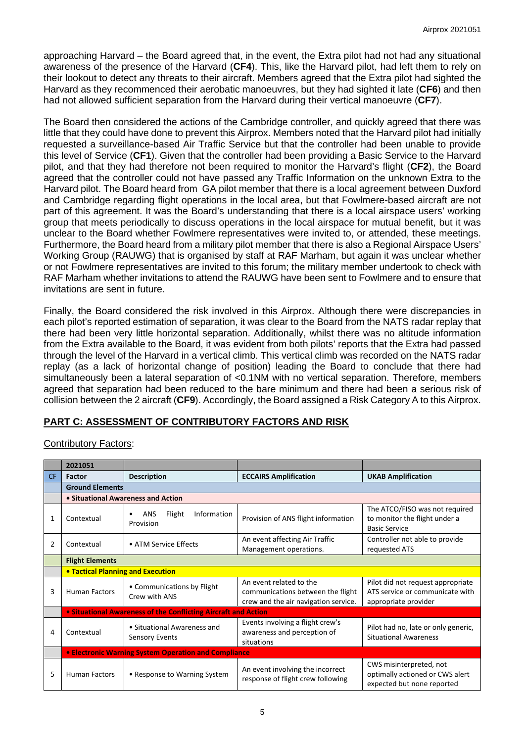approaching Harvard – the Board agreed that, in the event, the Extra pilot had not had any situational awareness of the presence of the Harvard (**CF4**). This, like the Harvard pilot, had left them to rely on their lookout to detect any threats to their aircraft. Members agreed that the Extra pilot had sighted the Harvard as they recommenced their aerobatic manoeuvres, but they had sighted it late (**CF6**) and then had not allowed sufficient separation from the Harvard during their vertical manoeuvre (**CF7**).

The Board then considered the actions of the Cambridge controller, and quickly agreed that there was little that they could have done to prevent this Airprox. Members noted that the Harvard pilot had initially requested a surveillance-based Air Traffic Service but that the controller had been unable to provide this level of Service (**CF1**). Given that the controller had been providing a Basic Service to the Harvard pilot, and that they had therefore not been required to monitor the Harvard's flight (**CF2**), the Board agreed that the controller could not have passed any Traffic Information on the unknown Extra to the Harvard pilot. The Board heard from GA pilot member that there is a local agreement between Duxford and Cambridge regarding flight operations in the local area, but that Fowlmere-based aircraft are not part of this agreement. It was the Board's understanding that there is a local airspace users' working group that meets periodically to discuss operations in the local airspace for mutual benefit, but it was unclear to the Board whether Fowlmere representatives were invited to, or attended, these meetings. Furthermore, the Board heard from a military pilot member that there is also a Regional Airspace Users' Working Group (RAUWG) that is organised by staff at RAF Marham, but again it was unclear whether or not Fowlmere representatives are invited to this forum; the military member undertook to check with RAF Marham whether invitations to attend the RAUWG have been sent to Fowlmere and to ensure that invitations are sent in future.

Finally, the Board considered the risk involved in this Airprox. Although there were discrepancies in each pilot's reported estimation of separation, it was clear to the Board from the NATS radar replay that there had been very little horizontal separation. Additionally, whilst there was no altitude information from the Extra available to the Board, it was evident from both pilots' reports that the Extra had passed through the level of the Harvard in a vertical climb. This vertical climb was recorded on the NATS radar replay (as a lack of horizontal change of position) leading the Board to conclude that there had simultaneously been a lateral separation of <0.1NM with no vertical separation. Therefore, members agreed that separation had been reduced to the bare minimum and there had been a serious risk of collision between the 2 aircraft (**CF9**). Accordingly, the Board assigned a Risk Category A to this Airprox.

# **PART C: ASSESSMENT OF CONTRIBUTORY FACTORS AND RISK**

# Contributory Factors:

|               | 2021051                                                        |                                                      |                                                                                                      |                                                                                              |  |  |
|---------------|----------------------------------------------------------------|------------------------------------------------------|------------------------------------------------------------------------------------------------------|----------------------------------------------------------------------------------------------|--|--|
| <b>CF</b>     | <b>Factor</b>                                                  | <b>Description</b>                                   | <b>ECCAIRS Amplification</b>                                                                         | <b>UKAB Amplification</b>                                                                    |  |  |
|               | <b>Ground Elements</b>                                         |                                                      |                                                                                                      |                                                                                              |  |  |
|               | • Situational Awareness and Action                             |                                                      |                                                                                                      |                                                                                              |  |  |
| 1             | Contextual                                                     | Information<br>Flight<br>ANS<br>Provision            | Provision of ANS flight information                                                                  | The ATCO/FISO was not required<br>to monitor the flight under a<br><b>Basic Service</b>      |  |  |
| $\mathcal{P}$ | Contextual                                                     | • ATM Service Effects                                | An event affecting Air Traffic<br>Management operations.                                             | Controller not able to provide<br>requested ATS                                              |  |  |
|               | <b>Flight Elements</b>                                         |                                                      |                                                                                                      |                                                                                              |  |  |
|               | <b>. Tactical Planning and Execution</b>                       |                                                      |                                                                                                      |                                                                                              |  |  |
| 3             | <b>Human Factors</b>                                           | • Communications by Flight<br>Crew with ANS          | An event related to the<br>communications between the flight<br>crew and the air navigation service. | Pilot did not request appropriate<br>ATS service or communicate with<br>appropriate provider |  |  |
|               | • Situational Awareness of the Conflicting Aircraft and Action |                                                      |                                                                                                      |                                                                                              |  |  |
| 4             | Contextual                                                     | • Situational Awareness and<br><b>Sensory Events</b> | Events involving a flight crew's<br>awareness and perception of<br>situations                        | Pilot had no, late or only generic,<br><b>Situational Awareness</b>                          |  |  |
|               | <b>• Electronic Warning System Operation and Compliance</b>    |                                                      |                                                                                                      |                                                                                              |  |  |
| 5             | <b>Human Factors</b>                                           | • Response to Warning System                         | An event involving the incorrect<br>response of flight crew following                                | CWS misinterpreted, not<br>optimally actioned or CWS alert<br>expected but none reported     |  |  |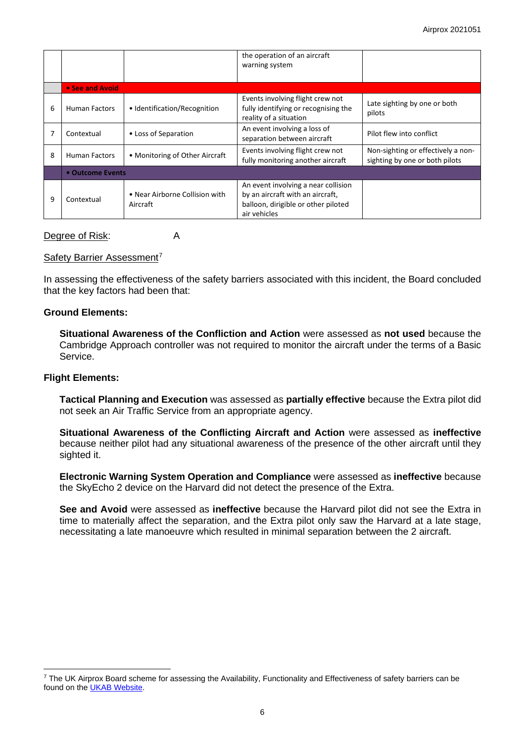|   |                      |                                            | the operation of an aircraft<br>warning system                                                                                 |                                                                      |  |  |
|---|----------------------|--------------------------------------------|--------------------------------------------------------------------------------------------------------------------------------|----------------------------------------------------------------------|--|--|
|   |                      |                                            |                                                                                                                                |                                                                      |  |  |
|   | • See and Avoid      |                                            |                                                                                                                                |                                                                      |  |  |
| 6 | Human Factors        | • Identification/Recognition               | Events involving flight crew not<br>fully identifying or recognising the<br>reality of a situation                             | Late sighting by one or both<br>pilots                               |  |  |
|   | Contextual           | • Loss of Separation                       | An event involving a loss of<br>separation between aircraft                                                                    | Pilot flew into conflict                                             |  |  |
| 8 | <b>Human Factors</b> | • Monitoring of Other Aircraft             | Events involving flight crew not<br>fully monitoring another aircraft                                                          | Non-sighting or effectively a non-<br>sighting by one or both pilots |  |  |
|   | • Outcome Events     |                                            |                                                                                                                                |                                                                      |  |  |
| 9 | Contextual           | • Near Airborne Collision with<br>Aircraft | An event involving a near collision<br>by an aircraft with an aircraft,<br>balloon, dirigible or other piloted<br>air vehicles |                                                                      |  |  |

#### Degree of Risk: A

### Safety Barrier Assessment<sup>[7](#page-5-0)</sup>

In assessing the effectiveness of the safety barriers associated with this incident, the Board concluded that the key factors had been that:

### **Ground Elements:**

**Situational Awareness of the Confliction and Action** were assessed as **not used** because the Cambridge Approach controller was not required to monitor the aircraft under the terms of a Basic Service.

## **Flight Elements:**

**Tactical Planning and Execution** was assessed as **partially effective** because the Extra pilot did not seek an Air Traffic Service from an appropriate agency.

**Situational Awareness of the Conflicting Aircraft and Action** were assessed as **ineffective** because neither pilot had any situational awareness of the presence of the other aircraft until they sighted it.

**Electronic Warning System Operation and Compliance** were assessed as **ineffective** because the SkyEcho 2 device on the Harvard did not detect the presence of the Extra.

**See and Avoid** were assessed as **ineffective** because the Harvard pilot did not see the Extra in time to materially affect the separation, and the Extra pilot only saw the Harvard at a late stage, necessitating a late manoeuvre which resulted in minimal separation between the 2 aircraft.

<span id="page-5-0"></span> $7$  The UK Airprox Board scheme for assessing the Availability, Functionality and Effectiveness of safety barriers can be found on the [UKAB Website.](http://www.airproxboard.org.uk/Learn-more/Airprox-Barrier-Assessment/)